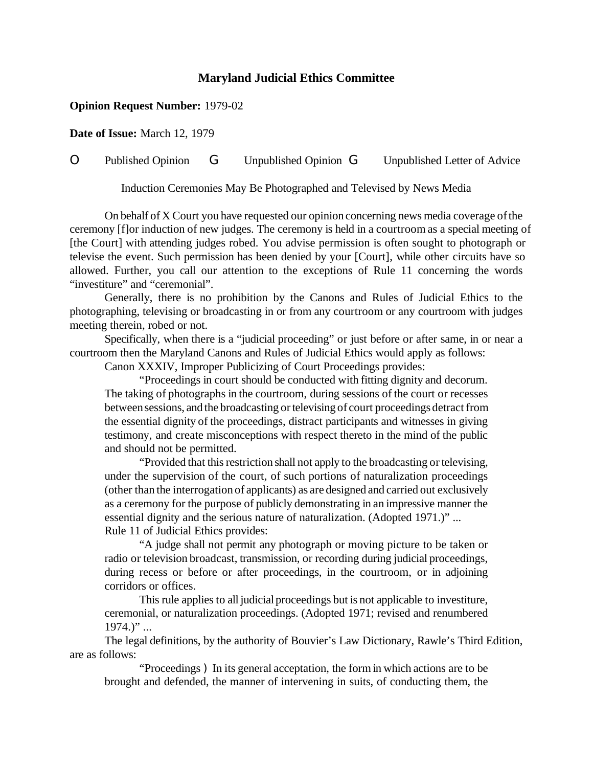## **Maryland Judicial Ethics Committee**

## **Opinion Request Number:** 1979-02

**Date of Issue:** March 12, 1979

## O Published Opinion G Unpublished Opinion G Unpublished Letter of Advice

Induction Ceremonies May Be Photographed and Televised by News Media

On behalf ofX Court you have requested our opinion concerning news media coverage ofthe ceremony [f]or induction of new judges. The ceremony is held in a courtroom as a special meeting of [the Court] with attending judges robed. You advise permission is often sought to photograph or televise the event. Such permission has been denied by your [Court], while other circuits have so allowed. Further, you call our attention to the exceptions of Rule 11 concerning the words "investiture" and "ceremonial".

Generally, there is no prohibition by the Canons and Rules of Judicial Ethics to the photographing, televising or broadcasting in or from any courtroom or any courtroom with judges meeting therein, robed or not.

Specifically, when there is a "judicial proceeding" or just before or after same, in or near a courtroom then the Maryland Canons and Rules of Judicial Ethics would apply as follows:

Canon XXXIV, Improper Publicizing of Court Proceedings provides:

"Proceedings in court should be conducted with fitting dignity and decorum. The taking of photographs in the courtroom, during sessions of the court or recesses between sessions, and the broadcasting or televising of court proceedings detract from the essential dignity of the proceedings, distract participants and witnesses in giving testimony, and create misconceptions with respect thereto in the mind of the public and should not be permitted.

"Provided that this restriction shall not apply to the broadcasting or televising, under the supervision of the court, of such portions of naturalization proceedings (other than the interrogation of applicants) as are designed and carried out exclusively as a ceremony for the purpose of publicly demonstrating in an impressive manner the essential dignity and the serious nature of naturalization. (Adopted 1971.)" ... Rule 11 of Judicial Ethics provides:

"A judge shall not permit any photograph or moving picture to be taken or radio or television broadcast, transmission, or recording during judicial proceedings, during recess or before or after proceedings, in the courtroom, or in adjoining corridors or offices.

This rule appliesto all judicial proceedings but is not applicable to investiture, ceremonial, or naturalization proceedings. (Adopted 1971; revised and renumbered  $1974.$ " ...

The legal definitions, by the authority of Bouvier's Law Dictionary, Rawle's Third Edition, are as follows:

"Proceedings ) In its general acceptation, the form in which actions are to be brought and defended, the manner of intervening in suits, of conducting them, the